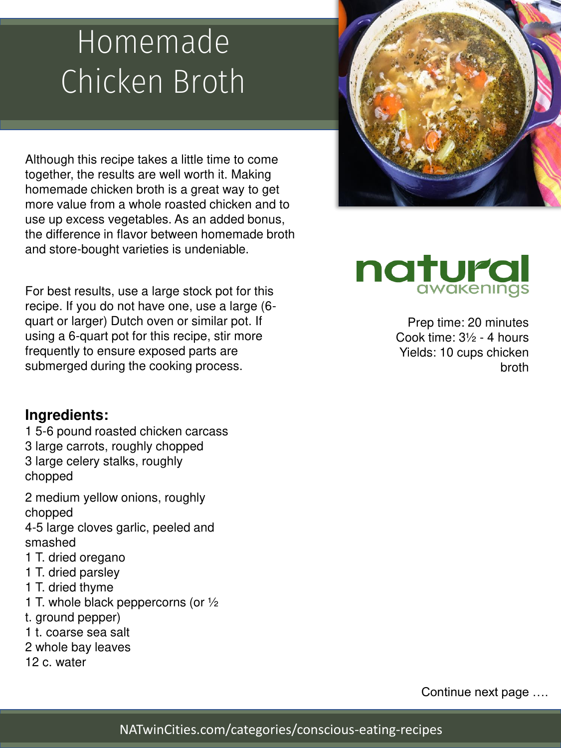### Homemade Chicken Broth

Although this recipe takes a little time to come together, the results are well worth it. Making homemade chicken broth is a great way to get more value from a whole roasted chicken and to use up excess vegetables. As an added bonus, the difference in flavor between homemade broth and store-bought varieties is undeniable.

For best results, use a large stock pot for this recipe. If you do not have one, use a large (6 quart or larger) Dutch oven or similar pot. If using a 6-quart pot for this recipe, stir more frequently to ensure exposed parts are submerged during the cooking process.

#### **Ingredients:**

1 5-6 pound roasted chicken carcass 3 large carrots, roughly chopped 3 large celery stalks, roughly chopped

2 medium yellow onions, roughly chopped

4-5 large cloves garlic, peeled and smashed

- 1 T. dried oregano
- 1 T. dried parsley
- 1 T. dried thyme
- 1 T. whole black peppercorns (or ½
- t. ground pepper)
- 1 t. coarse sea salt
- 2 whole bay leaves
- 12 c. water



# natura

Prep time: 20 minutes Cook time: 3½ - 4 hours Yields: 10 cups chicken broth

Continue next page ….